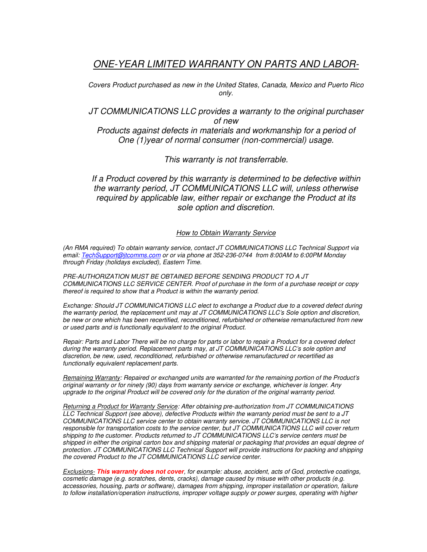## ONE-YEAR LIMITED WARRANTY ON PARTS AND LABOR-

Covers Product purchased as new in the United States, Canada, Mexico and Puerto Rico only.

JT COMMUNICATIONS LLC provides a warranty to the original purchaser of new Products against defects in materials and workmanship for a period of

One (1)year of normal consumer (non-commercial) usage.

This warranty is not transferrable.

If a Product covered by this warranty is determined to be defective within the warranty period, JT COMMUNICATIONS LLC will, unless otherwise required by applicable law, either repair or exchange the Product at its sole option and discretion.

How to Obtain Warranty Service

(An RMA required) To obtain warranty service, contact JT COMMUNICATIONS LLC Technical Support via email: TechSupport@jtcomms.com or or via phone at 352-236-0744 from 8:00AM to 6:00PM Monday through Friday (holidays excluded), Eastern Time.

PRE-AUTHORIZATION MUST BE OBTAINED BEFORE SENDING PRODUCT TO A JT COMMUNICATIONS LLC SERVICE CENTER. Proof of purchase in the form of a purchase receipt or copy thereof is required to show that a Product is within the warranty period.

Exchange: Should JT COMMUNICATIONS LLC elect to exchange a Product due to a covered defect during the warranty period, the replacement unit may at JT COMMUNICATIONS LLC's Sole option and discretion, be new or one which has been recertified, reconditioned, refurbished or otherwise remanufactured from new or used parts and is functionally equivalent to the original Product.

Repair: Parts and Labor There will be no charge for parts or labor to repair a Product for a covered defect during the warranty period. Replacement parts may, at JT COMMUNICATIONS LLC's sole option and discretion, be new, used, reconditioned, refurbished or otherwise remanufactured or recertified as functionally equivalent replacement parts.

Remaining Warranty: Repaired or exchanged units are warranted for the remaining portion of the Product's original warranty or for ninety (90) days from warranty service or exchange, whichever is longer. Any upgrade to the original Product will be covered only for the duration of the original warranty period.

Returning a Product for Warranty Service: After obtaining pre-authorization from JT COMMUNICATIONS LLC Technical Support (see above), defective Products within the warranty period must be sent to a JT COMMUNICATIONS LLC service center to obtain warranty service. JT COMMUNICATIONS LLC is not responsible for transportation costs to the service center, but JT COMMUNICATIONS LLC will cover return shipping to the customer. Products returned to JT COMMUNICATIONS LLC's service centers must be shipped in either the original carton box and shipping material or packaging that provides an equal degree of protection. JT COMMUNICATIONS LLC Technical Support will provide instructions for packing and shipping the covered Product to the JT COMMUNICATIONS LLC service center.

Exclusions- **This warranty does not cover**, for example: abuse, accident, acts of God, protective coatings, cosmetic damage (e.g. scratches, dents, cracks), damage caused by misuse with other products (e.g. accessories, housing, parts or software), damages from shipping, improper installation or operation, failure to follow installation/operation instructions, improper voltage supply or power surges, operating with higher